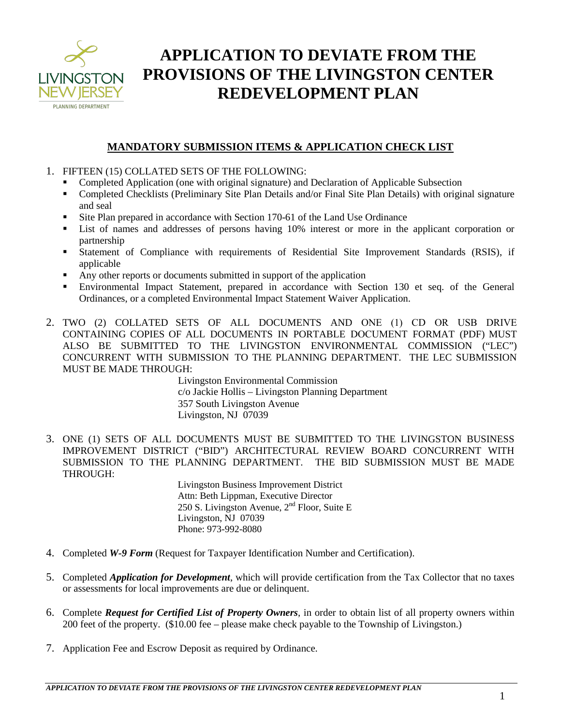

### **MANDATORY SUBMISSION ITEMS & APPLICATION CHECK LIST**

- 1. FIFTEEN (15) COLLATED SETS OF THE FOLLOWING:
	- Completed Application (one with original signature) and Declaration of Applicable Subsection
	- Completed Checklists (Preliminary Site Plan Details and/or Final Site Plan Details) with original signature and seal
	- Site Plan prepared in accordance with Section 170-61 of the Land Use Ordinance
	- List of names and addresses of persons having 10% interest or more in the applicant corporation or partnership
	- Statement of Compliance with requirements of Residential Site Improvement Standards (RSIS), if applicable
	- Any other reports or documents submitted in support of the application
	- Environmental Impact Statement, prepared in accordance with Section 130 et seq. of the General Ordinances, or a completed Environmental Impact Statement Waiver Application.
- 2. TWO (2) COLLATED SETS OF ALL DOCUMENTS AND ONE (1) CD OR USB DRIVE CONTAINING COPIES OF ALL DOCUMENTS IN PORTABLE DOCUMENT FORMAT (PDF) MUST ALSO BE SUBMITTED TO THE LIVINGSTON ENVIRONMENTAL COMMISSION ("LEC") CONCURRENT WITH SUBMISSION TO THE PLANNING DEPARTMENT. THE LEC SUBMISSION MUST BE MADE THROUGH:

Livingston Environmental Commission c/o Jackie Hollis – Livingston Planning Department 357 South Livingston Avenue Livingston, NJ 07039

3. ONE (1) SETS OF ALL DOCUMENTS MUST BE SUBMITTED TO THE LIVINGSTON BUSINESS IMPROVEMENT DISTRICT ("BID") ARCHITECTURAL REVIEW BOARD CONCURRENT WITH SUBMISSION TO THE PLANNING DEPARTMENT. THE BID SUBMISSION MUST BE MADE THROUGH:

> Livingston Business Improvement District Attn: Beth Lippman, Executive Director 250 S. Livingston Avenue,  $2<sup>nd</sup>$  Floor, Suite E Livingston, NJ 07039 Phone: 973-992-8080

- 4. Completed *W-9 Form* (Request for Taxpayer Identification Number and Certification).
- 5. Completed *Application for Development*, which will provide certification from the Tax Collector that no taxes or assessments for local improvements are due or delinquent.
- 6. Complete *Request for Certified List of Property Owners*, in order to obtain list of all property owners within 200 feet of the property. (\$10.00 fee – please make check payable to the Township of Livingston.)
- 7. Application Fee and Escrow Deposit as required by Ordinance.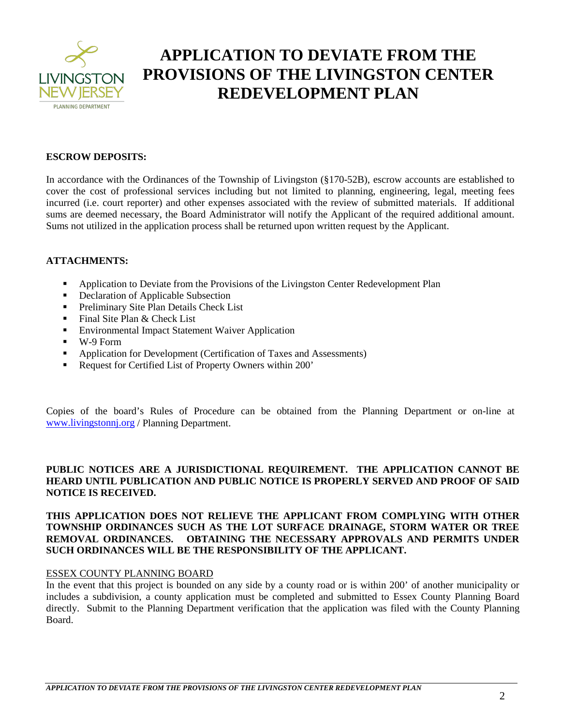

#### **ESCROW DEPOSITS:**

In accordance with the Ordinances of the Township of Livingston (§170-52B), escrow accounts are established to cover the cost of professional services including but not limited to planning, engineering, legal, meeting fees incurred (i.e. court reporter) and other expenses associated with the review of submitted materials. If additional sums are deemed necessary, the Board Administrator will notify the Applicant of the required additional amount. Sums not utilized in the application process shall be returned upon written request by the Applicant.

#### **ATTACHMENTS:**

- **•** Application to Deviate from the Provisions of the Livingston Center Redevelopment Plan
- Declaration of Applicable Subsection
- **Preliminary Site Plan Details Check List**
- Final Site Plan & Check List
- **Environmental Impact Statement Waiver Application**
- $\blacksquare$  W-9 Form
- Application for Development (Certification of Taxes and Assessments)
- Request for Certified List of Property Owners within 200'

Copies of the board's Rules of Procedure can be obtained from the Planning Department or on-line at [www.livingstonnj.org](http://www.livingstonnj.org/) / Planning Department.

#### **PUBLIC NOTICES ARE A JURISDICTIONAL REQUIREMENT. THE APPLICATION CANNOT BE HEARD UNTIL PUBLICATION AND PUBLIC NOTICE IS PROPERLY SERVED AND PROOF OF SAID NOTICE IS RECEIVED.**

#### **THIS APPLICATION DOES NOT RELIEVE THE APPLICANT FROM COMPLYING WITH OTHER TOWNSHIP ORDINANCES SUCH AS THE LOT SURFACE DRAINAGE, STORM WATER OR TREE REMOVAL ORDINANCES. OBTAINING THE NECESSARY APPROVALS AND PERMITS UNDER SUCH ORDINANCES WILL BE THE RESPONSIBILITY OF THE APPLICANT.**

#### ESSEX COUNTY PLANNING BOARD

In the event that this project is bounded on any side by a county road or is within 200' of another municipality or includes a subdivision, a county application must be completed and submitted to Essex County Planning Board directly. Submit to the Planning Department verification that the application was filed with the County Planning Board.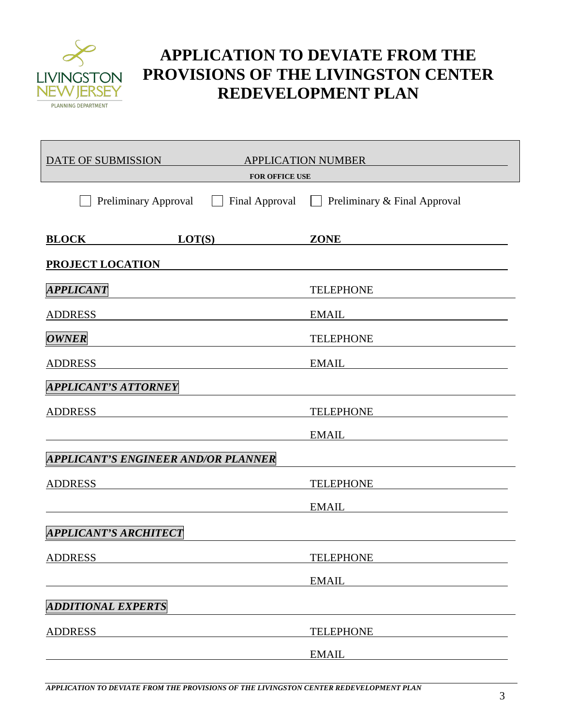

| DATE OF SUBMISSION<br><b>APPLICATION NUMBER</b><br><b>FOR OFFICE USE</b> |                |                                              |
|--------------------------------------------------------------------------|----------------|----------------------------------------------|
| Preliminary Approval                                                     | Final Approval | Preliminary & Final Approval<br>$\mathbf{1}$ |
| <b>BLOCK</b>                                                             | LOT(S)         | <b>ZONE</b>                                  |
| <b>PROJECT LOCATION</b>                                                  |                |                                              |
| <b>APPLICANT</b>                                                         |                | <b>TELEPHONE</b>                             |
| <b>ADDRESS</b>                                                           |                | <b>EMAIL</b>                                 |
| <b>OWNER</b>                                                             |                | <b>TELEPHONE</b>                             |
| <b>ADDRESS</b>                                                           |                | EMAIL                                        |
| <b>APPLICANT'S ATTORNEY</b>                                              |                |                                              |
| <b>ADDRESS</b>                                                           |                | <b>TELEPHONE</b>                             |
|                                                                          |                | <b>EMAIL</b>                                 |
| APPLICANT'S ENGINEER AND/OR PLANNER                                      |                |                                              |
| <b>ADDRESS</b>                                                           |                | <b>TELEPHONE</b>                             |
|                                                                          |                | EMAIL                                        |
| APPLICANT'S ARCHITECT                                                    |                |                                              |
| <b>ADDRESS</b>                                                           |                | <b>TELEPHONE</b>                             |
|                                                                          |                | <b>EMAIL</b>                                 |
| <b>ADDITIONAL EXPERTS</b>                                                |                |                                              |
| <b>ADDRESS</b>                                                           |                | <b>TELEPHONE</b>                             |
|                                                                          |                | <b>EMAIL</b>                                 |
|                                                                          |                |                                              |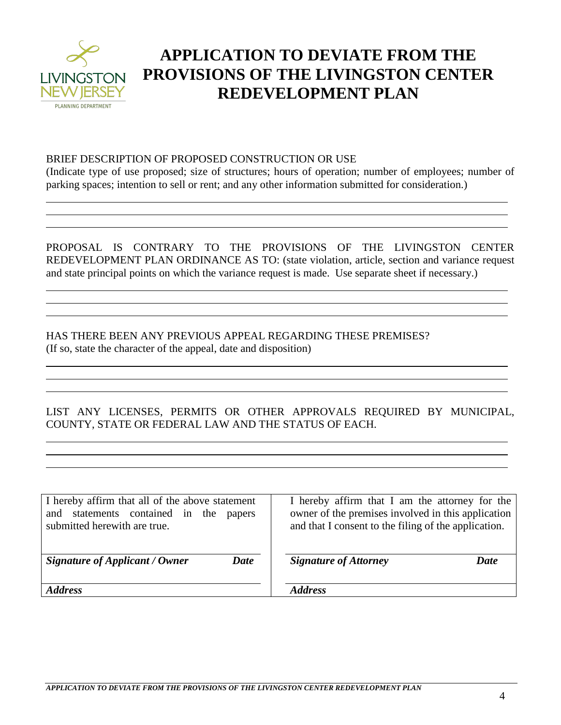

### BRIEF DESCRIPTION OF PROPOSED CONSTRUCTION OR USE

(Indicate type of use proposed; size of structures; hours of operation; number of employees; number of parking spaces; intention to sell or rent; and any other information submitted for consideration.)

PROPOSAL IS CONTRARY TO THE PROVISIONS OF THE LIVINGSTON CENTER REDEVELOPMENT PLAN ORDINANCE AS TO: (state violation, article, section and variance request and state principal points on which the variance request is made. Use separate sheet if necessary.)

HAS THERE BEEN ANY PREVIOUS APPEAL REGARDING THESE PREMISES? (If so, state the character of the appeal, date and disposition)

### LIST ANY LICENSES, PERMITS OR OTHER APPROVALS REQUIRED BY MUNICIPAL, COUNTY, STATE OR FEDERAL LAW AND THE STATUS OF EACH.

| I hereby affirm that all of the above statement<br>statements contained in the<br>and<br>papers<br>submitted herewith are true. | I hereby affirm that I am the attorney for the<br>owner of the premises involved in this application<br>and that I consent to the filing of the application. |
|---------------------------------------------------------------------------------------------------------------------------------|--------------------------------------------------------------------------------------------------------------------------------------------------------------|
| <b>Date</b><br>Signature of Applicant / Owner                                                                                   | <b>Signature of Attorney</b><br>Date                                                                                                                         |
| <i><b>Address</b></i>                                                                                                           | <i><b>Address</b></i>                                                                                                                                        |
|                                                                                                                                 |                                                                                                                                                              |